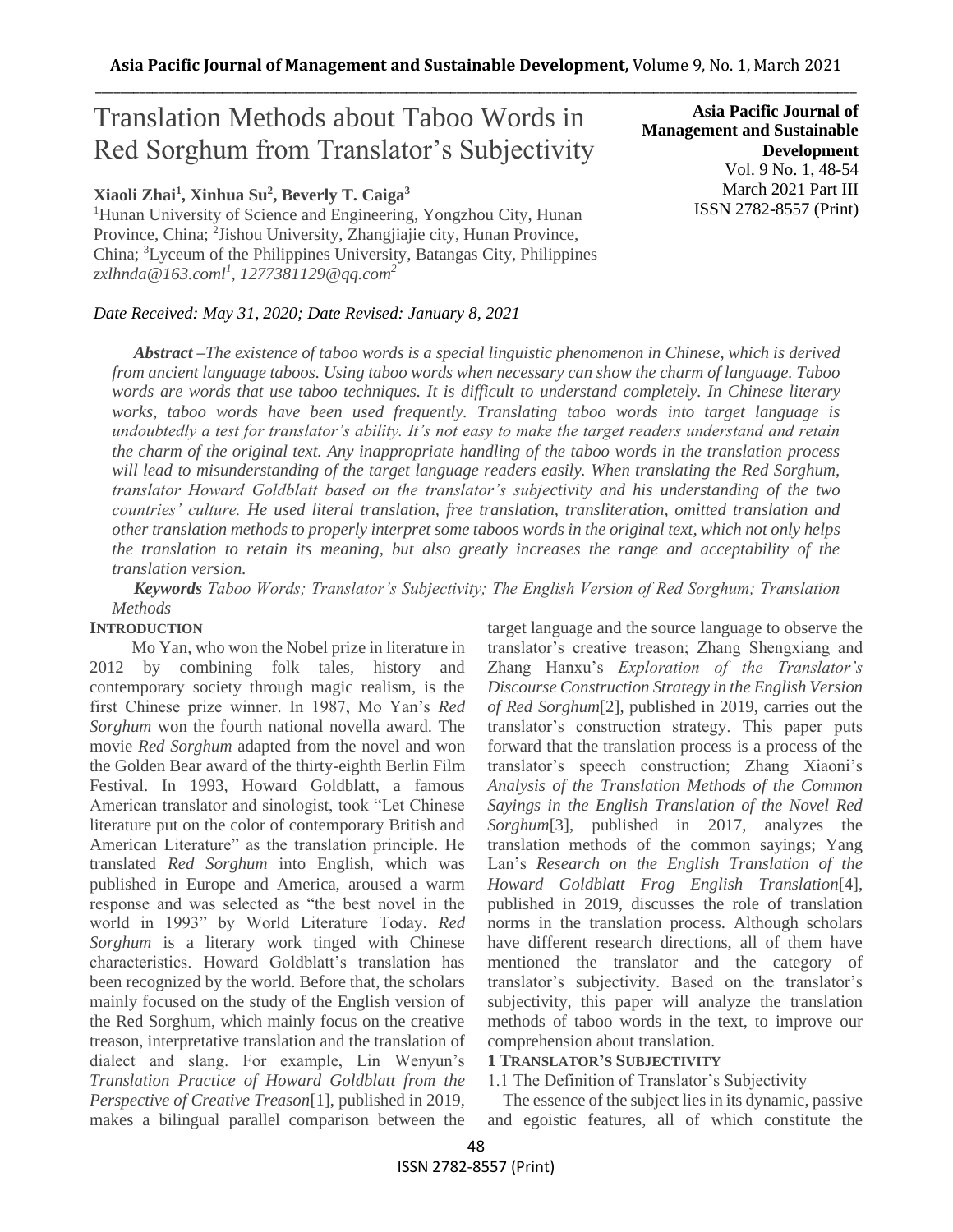# Translation Methods about Taboo Words in Red Sorghum from Translator's Subjectivity

### **Xiaoli Zhai<sup>1</sup> , Xinhua Su<sup>2</sup> , Beverly T. Caiga<sup>3</sup>**

<sup>1</sup>Hunan University of Science and Engineering, Yongzhou City, Hunan Province, China; <sup>2</sup>Jishou University, Zhangjiajie city, Hunan Province, China; <sup>3</sup>Lyceum of the Philippines University, Batangas City, Philippines *zxlhnda@163.coml<sup>1</sup> , 1277381129@qq.com<sup>2</sup>*

#### *Date Received: May 31, 2020; Date Revised: January 8, 2021*

**Asia Pacific Journal of Management and Sustainable Development**  Vol. 9 No. 1, 48-54 March 2021 Part III ISSN 2782-8557 (Print)

*Abstract –The existence of taboo words is a special linguistic phenomenon in Chinese, which is derived from ancient language taboos. Using taboo words when necessary can show the charm of language. Taboo words are words that use taboo techniques. It is difficult to understand completely. In Chinese literary works, taboo words have been used frequently. Translating taboo words into target language is undoubtedly a test for translator's ability. It's not easy to make the target readers understand and retain the charm of the original text. Any inappropriate handling of the taboo words in the translation process*  will lead to misunderstanding of the target language readers easily. When translating the Red Sorghum, *translator Howard Goldblatt based on the translator's subjectivity and his understanding of the two countries' culture. He used literal translation, free translation, transliteration, omitted translation and other translation methods to properly interpret some taboos words in the original text, which not only helps the translation to retain its meaning, but also greatly increases the range and acceptability of the translation version.*

*Keywords Taboo Words; Translator's Subjectivity; The English Version of Red Sorghum; Translation Methods*

#### **INTRODUCTION**

Mo Yan, who won the Nobel prize in literature in 2012 by combining folk tales, history and contemporary society through magic realism, is the first Chinese prize winner. In 1987, Mo Yan's *Red Sorghum* won the fourth national novella award. The movie *Red Sorghum* adapted from the novel and won the Golden Bear award of the thirty-eighth Berlin Film Festival. In 1993, Howard Goldblatt, a famous American translator and sinologist, took "Let Chinese literature put on the color of contemporary British and American Literature" as the translation principle. He translated *Red Sorghum* into English, which was published in Europe and America, aroused a warm response and was selected as "the best novel in the world in 1993" by World Literature Today. *Red Sorghum* is a literary work tinged with Chinese characteristics. Howard Goldblatt's translation has been recognized by the world. Before that, the scholars mainly focused on the study of the English version of the Red Sorghum, which mainly focus on the creative treason, interpretative translation and the translation of dialect and slang. For example, Lin Wenyun's *Translation Practice of Howard Goldblatt from the Perspective of Creative Treason*[1], published in 2019, makes a bilingual parallel comparison between the

target language and the source language to observe the translator's creative treason; Zhang Shengxiang and Zhang Hanxu's *Exploration of the Translator's Discourse Construction Strategy in the English Version of Red Sorghum*[2], published in 2019, carries out the translator's construction strategy. This paper puts forward that the translation process is a process of the translator's speech construction; Zhang Xiaoni's *Analysis of the Translation Methods of the Common Sayings in the English Translation of the Novel Red Sorghum*[3], published in 2017, analyzes the translation methods of the common sayings; Yang Lan's *Research on the English Translation of the Howard Goldblatt Frog English Translation*[4], published in 2019, discusses the role of translation norms in the translation process. Although scholars have different research directions, all of them have mentioned the translator and the category of translator's subjectivity. Based on the translator's subjectivity, this paper will analyze the translation methods of taboo words in the text, to improve our comprehension about translation.

#### **1 TRANSLATOR'S SUBJECTIVITY**

### 1.1 The Definition of Translator's Subjectivity

The essence of the subject lies in its dynamic, passive and egoistic features, all of which constitute the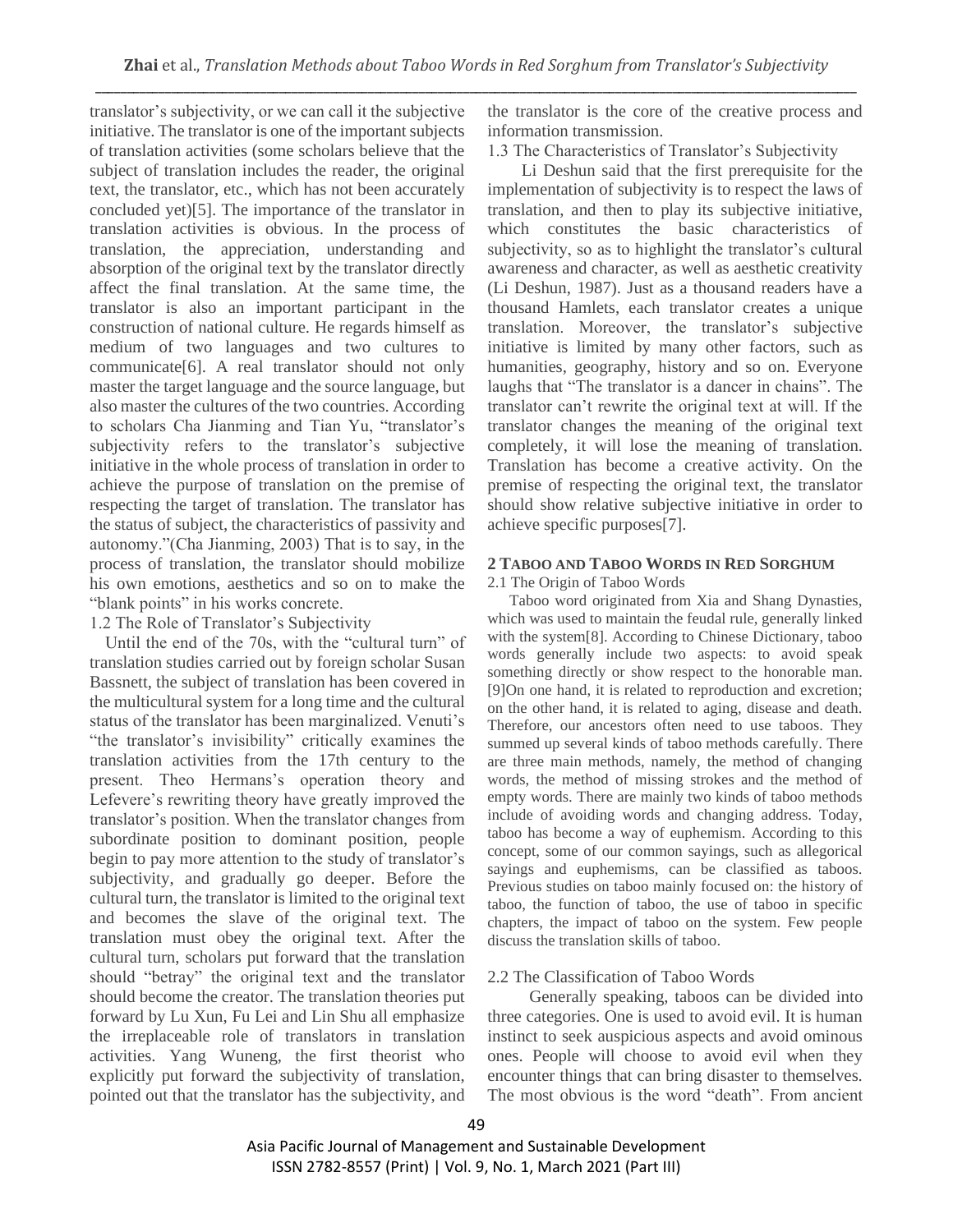translator's subjectivity, or we can call it the subjective initiative. The translator is one of the important subjects of translation activities (some scholars believe that the subject of translation includes the reader, the original text, the translator, etc., which has not been accurately concluded yet)[5]. The importance of the translator in translation activities is obvious. In the process of translation, the appreciation, understanding and absorption of the original text by the translator directly affect the final translation. At the same time, the translator is also an important participant in the construction of national culture. He regards himself as medium of two languages and two cultures to communicate[6]. A real translator should not only master the target language and the source language, but also master the cultures of the two countries. According to scholars Cha Jianming and Tian Yu, "translator's subjectivity refers to the translator's subjective initiative in the whole process of translation in order to achieve the purpose of translation on the premise of respecting the target of translation. The translator has the status of subject, the characteristics of passivity and autonomy."(Cha Jianming, 2003) That is to say, in the process of translation, the translator should mobilize his own emotions, aesthetics and so on to make the "blank points" in his works concrete.

### 1.2 The Role of Translator's Subjectivity

Until the end of the 70s, with the "cultural turn" of translation studies carried out by foreign scholar Susan Bassnett, the subject of translation has been covered in the multicultural system for a long time and the cultural status of the translator has been marginalized. Venuti's "the translator's invisibility" critically examines the translation activities from the 17th century to the present. Theo Hermans's operation theory and Lefevere's rewriting theory have greatly improved the translator's position. When the translator changes from subordinate position to dominant position, people begin to pay more attention to the study of translator's subjectivity, and gradually go deeper. Before the cultural turn, the translator is limited to the original text and becomes the slave of the original text. The translation must obey the original text. After the cultural turn, scholars put forward that the translation should "betray" the original text and the translator should become the creator. The translation theories put forward by Lu Xun, Fu Lei and Lin Shu all emphasize the irreplaceable role of translators in translation activities. Yang Wuneng, the first theorist who explicitly put forward the subjectivity of translation, pointed out that the translator has the subjectivity, and

the translator is the core of the creative process and information transmission.

1.3 The Characteristics of Translator's Subjectivity

Li Deshun said that the first prerequisite for the implementation of subjectivity is to respect the laws of translation, and then to play its subjective initiative, which constitutes the basic characteristics of subjectivity, so as to highlight the translator's cultural awareness and character, as well as aesthetic creativity (Li Deshun, 1987). Just as a thousand readers have a thousand Hamlets, each translator creates a unique translation. Moreover, the translator's subjective initiative is limited by many other factors, such as humanities, geography, history and so on. Everyone laughs that "The translator is a dancer in chains". The translator can't rewrite the original text at will. If the translator changes the meaning of the original text completely, it will lose the meaning of translation. Translation has become a creative activity. On the premise of respecting the original text, the translator should show relative subjective initiative in order to achieve specific purposes[7].

#### **2 TABOO AND TABOO WORDS IN RED SORGHUM**

2.1 The Origin of Taboo Words

Taboo word originated from Xia and Shang Dynasties, which was used to maintain the feudal rule, generally linked with the system[8]. According to Chinese Dictionary, taboo words generally include two aspects: to avoid speak something directly or show respect to the honorable man. [9]On one hand, it is related to reproduction and excretion; on the other hand, it is related to aging, disease and death. Therefore, our ancestors often need to use taboos. They summed up several kinds of taboo methods carefully. There are three main methods, namely, the method of changing words, the method of missing strokes and the method of empty words. There are mainly two kinds of taboo methods include of avoiding words and changing address. Today, taboo has become a way of euphemism. According to this concept, some of our common sayings, such as allegorical sayings and euphemisms, can be classified as taboos. Previous studies on taboo mainly focused on: the history of taboo, the function of taboo, the use of taboo in specific chapters, the impact of taboo on the system. Few people discuss the translation skills of taboo.

## 2.2 The Classification of Taboo Words

Generally speaking, taboos can be divided into three categories. One is used to avoid evil. It is human instinct to seek auspicious aspects and avoid ominous ones. People will choose to avoid evil when they encounter things that can bring disaster to themselves. The most obvious is the word "death". From ancient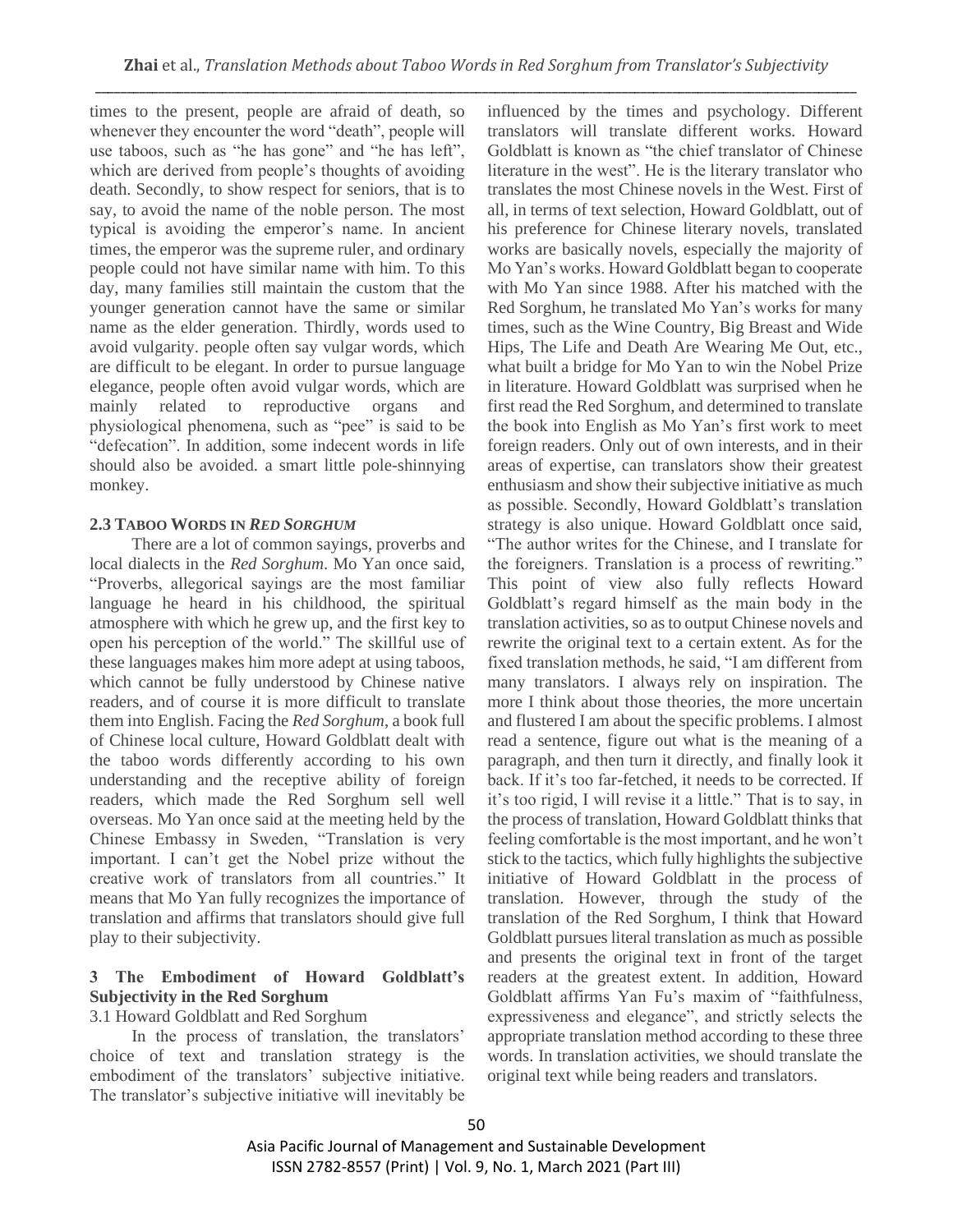times to the present, people are afraid of death, so whenever they encounter the word "death", people will use taboos, such as "he has gone" and "he has left", which are derived from people's thoughts of avoiding death. Secondly, to show respect for seniors, that is to say, to avoid the name of the noble person. The most typical is avoiding the emperor's name. In ancient times, the emperor was the supreme ruler, and ordinary people could not have similar name with him. To this day, many families still maintain the custom that the younger generation cannot have the same or similar name as the elder generation. Thirdly, words used to avoid vulgarity. people often say vulgar words, which are difficult to be elegant. In order to pursue language elegance, people often avoid vulgar words, which are mainly related to reproductive organs and physiological phenomena, such as "pee" is said to be "defecation". In addition, some indecent words in life should also be avoided. a smart little pole-shinnying monkey.

#### **2.3 TABOO WORDS IN** *RED SORGHUM*

There are a lot of common sayings, proverbs and local dialects in the *Red Sorghum*. Mo Yan once said, "Proverbs, allegorical sayings are the most familiar language he heard in his childhood, the spiritual atmosphere with which he grew up, and the first key to open his perception of the world." The skillful use of these languages makes him more adept at using taboos, which cannot be fully understood by Chinese native readers, and of course it is more difficult to translate them into English. Facing the *Red Sorghum*, a book full of Chinese local culture, Howard Goldblatt dealt with the taboo words differently according to his own understanding and the receptive ability of foreign readers, which made the Red Sorghum sell well overseas. Mo Yan once said at the meeting held by the Chinese Embassy in Sweden, "Translation is very important. I can't get the Nobel prize without the creative work of translators from all countries." It means that Mo Yan fully recognizes the importance of translation and affirms that translators should give full play to their subjectivity.

## **3 The Embodiment of Howard Goldblatt's Subjectivity in the Red Sorghum**

#### 3.1 Howard Goldblatt and Red Sorghum

In the process of translation, the translators' choice of text and translation strategy is the embodiment of the translators' subjective initiative. The translator's subjective initiative will inevitably be influenced by the times and psychology. Different translators will translate different works. Howard Goldblatt is known as "the chief translator of Chinese literature in the west". He is the literary translator who translates the most Chinese novels in the West. First of all, in terms of text selection, Howard Goldblatt, out of his preference for Chinese literary novels, translated works are basically novels, especially the majority of Mo Yan's works. Howard Goldblatt began to cooperate with Mo Yan since 1988. After his matched with the Red Sorghum, he translated Mo Yan's works for many times, such as the Wine Country, Big Breast and Wide Hips, The Life and Death Are Wearing Me Out, etc., what built a bridge for Mo Yan to win the Nobel Prize in literature. Howard Goldblatt was surprised when he first read the Red Sorghum, and determined to translate the book into English as Mo Yan's first work to meet foreign readers. Only out of own interests, and in their areas of expertise, can translators show their greatest enthusiasm and show their subjective initiative as much as possible. Secondly, Howard Goldblatt's translation strategy is also unique. Howard Goldblatt once said, "The author writes for the Chinese, and I translate for the foreigners. Translation is a process of rewriting." This point of view also fully reflects Howard Goldblatt's regard himself as the main body in the translation activities, so as to output Chinese novels and rewrite the original text to a certain extent. As for the fixed translation methods, he said, "I am different from many translators. I always rely on inspiration. The more I think about those theories, the more uncertain and flustered I am about the specific problems. I almost read a sentence, figure out what is the meaning of a paragraph, and then turn it directly, and finally look it back. If it's too far-fetched, it needs to be corrected. If it's too rigid, I will revise it a little." That is to say, in the process of translation, Howard Goldblatt thinks that feeling comfortable is the most important, and he won't stick to the tactics, which fully highlights the subjective initiative of Howard Goldblatt in the process of translation. However, through the study of the translation of the Red Sorghum, I think that Howard Goldblatt pursues literal translation as much as possible and presents the original text in front of the target readers at the greatest extent. In addition, Howard Goldblatt affirms Yan Fu's maxim of "faithfulness, expressiveness and elegance", and strictly selects the appropriate translation method according to these three words. In translation activities, we should translate the original text while being readers and translators.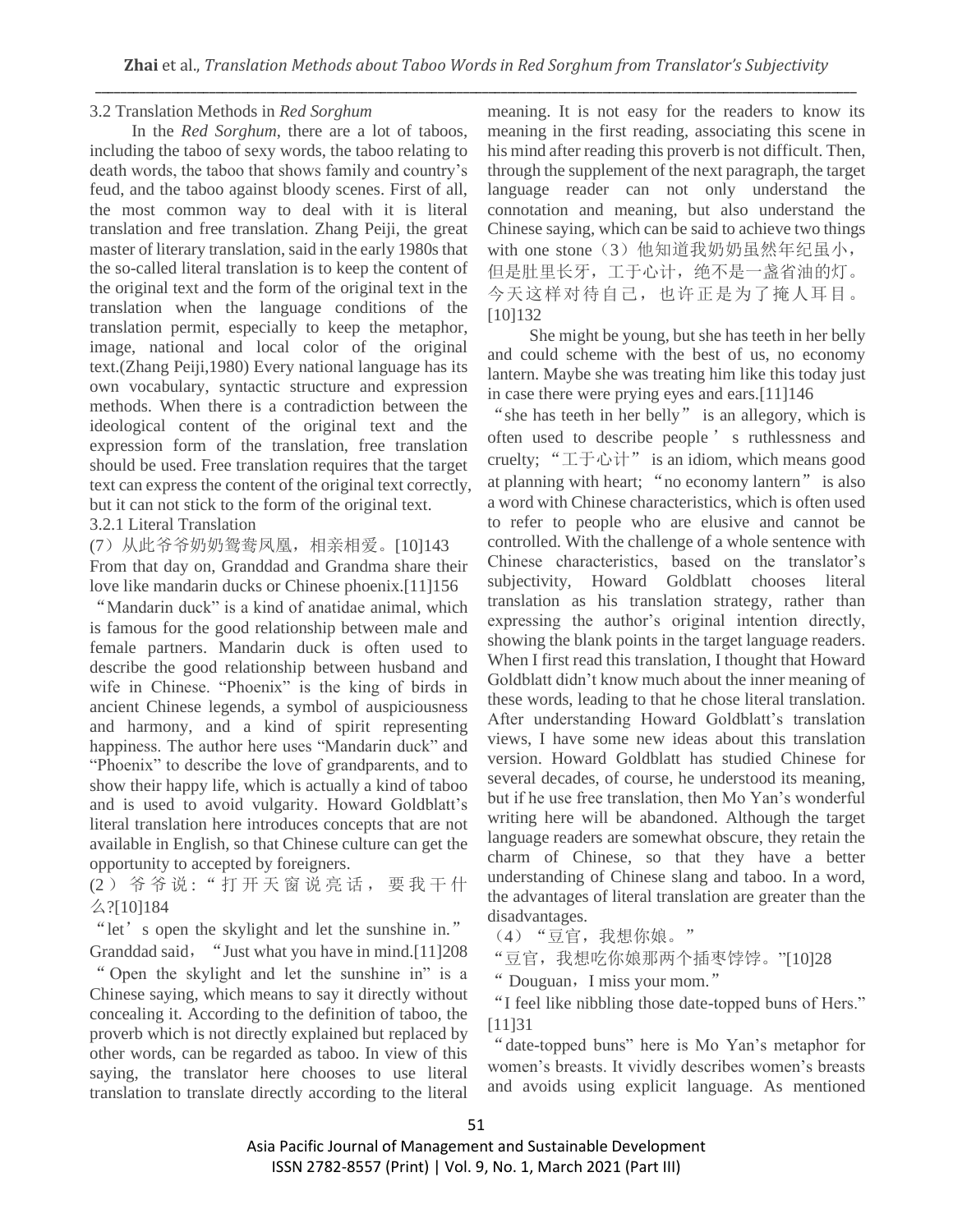#### 3.2 Translation Methods in *Red Sorghum*

In the *Red Sorghum*, there are a lot of taboos, including the taboo of sexy words, the taboo relating to death words, the taboo that shows family and country's feud, and the taboo against bloody scenes. First of all, the most common way to deal with it is literal translation and free translation. Zhang Peiji, the great master of literary translation, said in the early 1980s that the so-called literal translation is to keep the content of the original text and the form of the original text in the translation when the language conditions of the translation permit, especially to keep the metaphor, image, national and local color of the original text.(Zhang Peiji,1980) Every national language has its own vocabulary, syntactic structure and expression methods. When there is a contradiction between the ideological content of the original text and the expression form of the translation, free translation should be used. Free translation requires that the target text can express the content of the original text correctly, but it can not stick to the form of the original text.

3.2.1 Literal Translation

(7)从此爷爷奶奶鸳鸯凤凰,相亲相爱。[10]143 From that day on, Granddad and Grandma share their love like mandarin ducks or Chinese phoenix.[11]156

"Mandarin duck" is a kind of anatidae animal, which is famous for the good relationship between male and female partners. Mandarin duck is often used to describe the good relationship between husband and wife in Chinese. "Phoenix" is the king of birds in ancient Chinese legends, a symbol of auspiciousness and harmony, and a kind of spirit representing happiness. The author here uses "Mandarin duck" and "Phoenix" to describe the love of grandparents, and to show their happy life, which is actually a kind of taboo and is used to avoid vulgarity. Howard Goldblatt's literal translation here introduces concepts that are not available in English, so that Chinese culture can get the opportunity to accepted by foreigners.

(2) 爷爷说: "打开天窗说亮话, 要我干什 么?[10]184

"let' s open the skylight and let the sunshine in." Granddad said, "Just what you have in mind.[11]208 " Open the skylight and let the sunshine in" is a Chinese saying, which means to say it directly without concealing it. According to the definition of taboo, the proverb which is not directly explained but replaced by other words, can be regarded as taboo. In view of this saying, the translator here chooses to use literal translation to translate directly according to the literal

meaning. It is not easy for the readers to know its meaning in the first reading, associating this scene in his mind after reading this proverb is not difficult. Then, through the supplement of the next paragraph, the target language reader can not only understand the connotation and meaning, but also understand the Chinese saying, which can be said to achieve two things with one stone (3) 他知道我奶奶虽然年纪虽小, 但是肚里长牙,工于心计,绝不是一盏省油的灯。 今天这样对待自己,也许正是为了掩人耳目。 [10]132

She might be young, but she has teeth in her belly and could scheme with the best of us, no economy lantern. Maybe she was treating him like this today just in case there were prying eyes and ears.[11]146

"she has teeth in her belly" is an allegory, which is often used to describe people ' s ruthlessness and cruelty; "工于心计" is an idiom, which means good at planning with heart; "no economy lantern" is also a word with Chinese characteristics, which is often used to refer to people who are elusive and cannot be controlled. With the challenge of a whole sentence with Chinese characteristics, based on the translator's subjectivity, Howard Goldblatt chooses literal translation as his translation strategy, rather than expressing the author's original intention directly, showing the blank points in the target language readers. When I first read this translation, I thought that Howard Goldblatt didn't know much about the inner meaning of these words, leading to that he chose literal translation. After understanding Howard Goldblatt's translation views, I have some new ideas about this translation version. Howard Goldblatt has studied Chinese for several decades, of course, he understood its meaning, but if he use free translation, then Mo Yan's wonderful writing here will be abandoned. Although the target language readers are somewhat obscure, they retain the charm of Chinese, so that they have a better understanding of Chinese slang and taboo. In a word, the advantages of literal translation are greater than the disadvantages.

(4)"豆官,我想你娘。"

"豆官,我想吃你娘那两个插枣饽饽。"[10]28

" Douguan, I miss your mom."

"I feel like nibbling those date-topped buns of Hers." [11]31

"date-topped buns" here is Mo Yan's metaphor for women's breasts. It vividly describes women's breasts and avoids using explicit language. As mentioned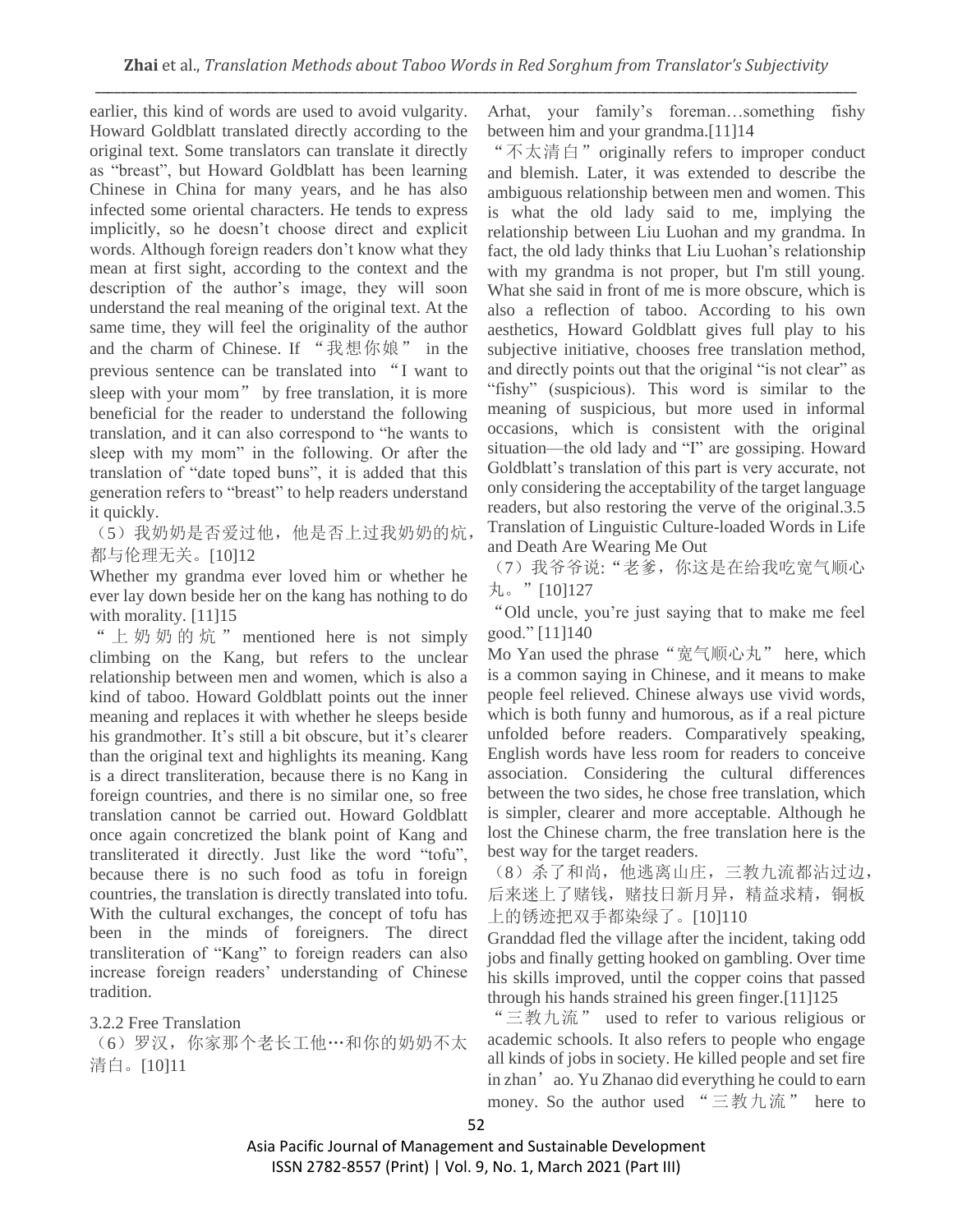earlier, this kind of words are used to avoid vulgarity. Howard Goldblatt translated directly according to the original text. Some translators can translate it directly as "breast", but Howard Goldblatt has been learning Chinese in China for many years, and he has also infected some oriental characters. He tends to express implicitly, so he doesn't choose direct and explicit words. Although foreign readers don't know what they mean at first sight, according to the context and the description of the author's image, they will soon understand the real meaning of the original text. At the same time, they will feel the originality of the author and the charm of Chinese. If "我想你娘" in the previous sentence can be translated into "I want to sleep with your mom" by free translation, it is more beneficial for the reader to understand the following translation, and it can also correspond to "he wants to sleep with my mom" in the following. Or after the translation of "date toped buns", it is added that this generation refers to "breast" to help readers understand it quickly.

(5)我奶奶是否爱过他,他是否上过我奶奶的炕, 都与伦理无关。[10]12

Whether my grandma ever loved him or whether he ever lay down beside her on the kang has nothing to do with morality. [11]<sup>15</sup>

"上奶奶的炕" mentioned here is not simply climbing on the Kang, but refers to the unclear relationship between men and women, which is also a kind of taboo. Howard Goldblatt points out the inner meaning and replaces it with whether he sleeps beside his grandmother. It's still a bit obscure, but it's clearer than the original text and highlights its meaning. Kang is a direct transliteration, because there is no Kang in foreign countries, and there is no similar one, so free translation cannot be carried out. Howard Goldblatt once again concretized the blank point of Kang and transliterated it directly. Just like the word "tofu", because there is no such food as tofu in foreign countries, the translation is directly translated into tofu. With the cultural exchanges, the concept of tofu has been in the minds of foreigners. The direct transliteration of "Kang" to foreign readers can also increase foreign readers' understanding of Chinese tradition.

3.2.2 Free Translation

(6)罗汉,你家那个老长工他…和你的奶奶不太 清白。[10]11

Arhat, your family's foreman…something fishy between him and your grandma.[11]14

"不太清白"originally refers to improper conduct and blemish. Later, it was extended to describe the ambiguous relationship between men and women. This is what the old lady said to me, implying the relationship between Liu Luohan and my grandma. In fact, the old lady thinks that Liu Luohan's relationship with my grandma is not proper, but I'm still young. What she said in front of me is more obscure, which is also a reflection of taboo. According to his own aesthetics, Howard Goldblatt gives full play to his subjective initiative, chooses free translation method, and directly points out that the original "is not clear" as "fishy" (suspicious). This word is similar to the meaning of suspicious, but more used in informal occasions, which is consistent with the original situation—the old lady and "I" are gossiping. Howard Goldblatt's translation of this part is very accurate, not only considering the acceptability of the target language readers, but also restoring the verve of the original.3.5 Translation of Linguistic Culture-loaded Words in Life and Death Are Wearing Me Out

(7)我爷爷说:"老爹,你这是在给我吃宽气顺心 丸。"[10]127

"Old uncle, you're just saying that to make me feel good." [11]140

Mo Yan used the phrase "宽气顺心丸" here, which is a common saying in Chinese, and it means to make people feel relieved. Chinese always use vivid words, which is both funny and humorous, as if a real picture unfolded before readers. Comparatively speaking, English words have less room for readers to conceive association. Considering the cultural differences between the two sides, he chose free translation, which is simpler, clearer and more acceptable. Although he lost the Chinese charm, the free translation here is the best way for the target readers.

(8)杀了和尚,他逃离山庄,三教九流都沾过边, 后来迷上了赌钱,赌技日新月异,精益求精,铜板 上的锈迹把双手都染绿了。[10]110

Granddad fled the village after the incident, taking odd jobs and finally getting hooked on gambling. Over time his skills improved, until the copper coins that passed through his hands strained his green finger.[11]125

"三教九流" used to refer to various religious or academic schools. It also refers to people who engage all kinds of jobs in society. He killed people and set fire in zhan'ao. Yu Zhanao did everything he could to earn money. So the author used "三教九流" here to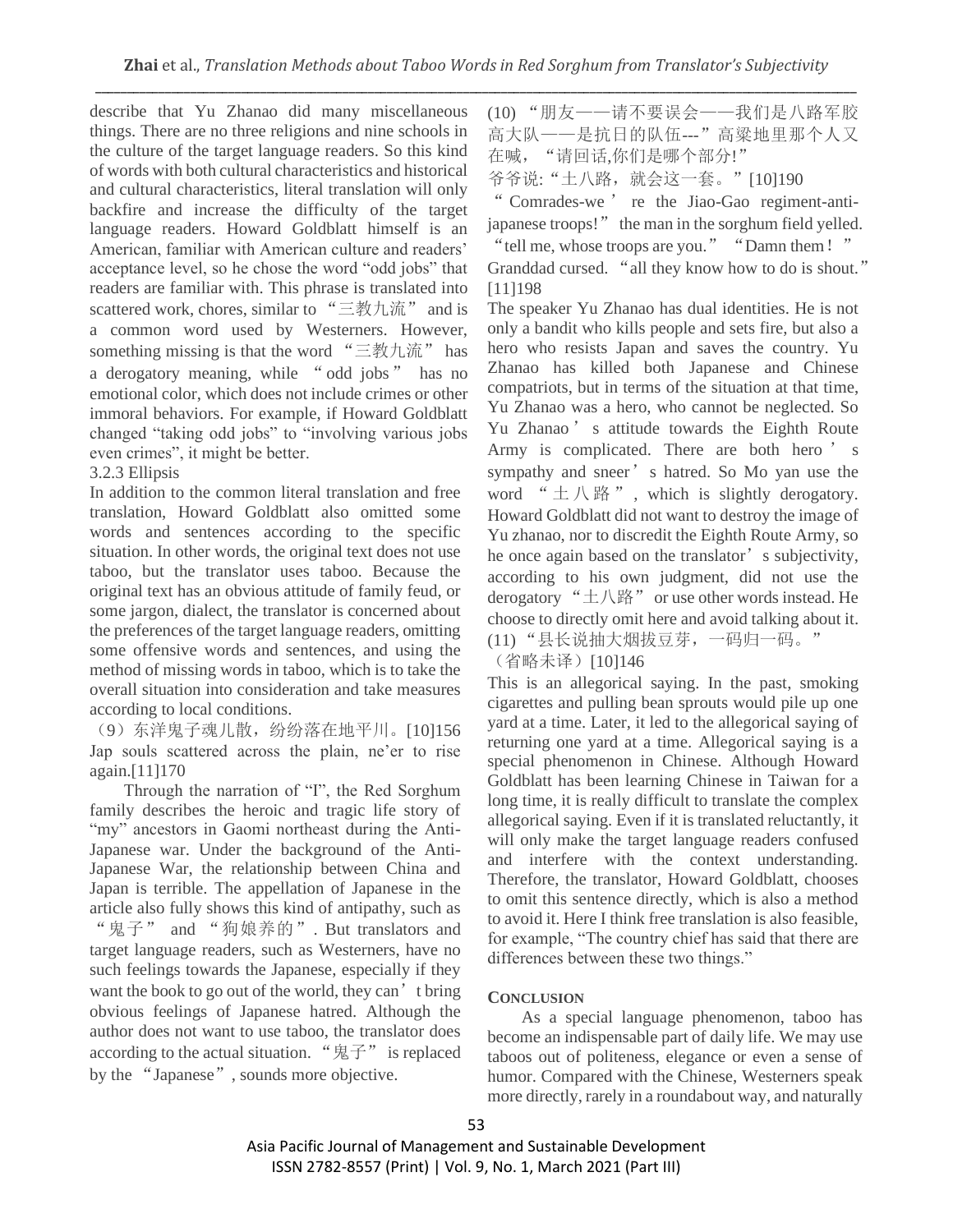describe that Yu Zhanao did many miscellaneous things. There are no three religions and nine schools in the culture of the target language readers. So this kind of words with both cultural characteristics and historical and cultural characteristics, literal translation will only backfire and increase the difficulty of the target language readers. Howard Goldblatt himself is an American, familiar with American culture and readers' acceptance level, so he chose the word "odd jobs" that readers are familiar with. This phrase is translated into scattered work, chores, similar to "三教九流" and is a common word used by Westerners. However, something missing is that the word "三教九流" has a derogatory meaning, while "odd jobs" has no emotional color, which does not include crimes or other immoral behaviors. For example, if Howard Goldblatt changed "taking odd jobs" to "involving various jobs even crimes", it might be better.

## 3.2.3 Ellipsis

In addition to the common literal translation and free translation, Howard Goldblatt also omitted some words and sentences according to the specific situation. In other words, the original text does not use taboo, but the translator uses taboo. Because the original text has an obvious attitude of family feud, or some jargon, dialect, the translator is concerned about the preferences of the target language readers, omitting some offensive words and sentences, and using the method of missing words in taboo, which is to take the overall situation into consideration and take measures according to local conditions.

(9)东洋鬼子魂儿散,纷纷落在地平川。[10]156 Jap souls scattered across the plain, ne'er to rise again.[11]170

Through the narration of "I", the Red Sorghum family describes the heroic and tragic life story of "my" ancestors in Gaomi northeast during the Anti-Japanese war. Under the background of the Anti-Japanese War, the relationship between China and Japan is terrible. The appellation of Japanese in the article also fully shows this kind of antipathy, such as "鬼子" and "狗娘养的". But translators and target language readers, such as Westerners, have no such feelings towards the Japanese, especially if they want the book to go out of the world, they can't bring obvious feelings of Japanese hatred. Although the author does not want to use taboo, the translator does according to the actual situation. "鬼子" is replaced by the "Japanese", sounds more objective.

(10) "朋友——请不要误会——我们是八路军胶 高大队——是抗日的队伍---"高粱地里那个人又 在喊, "请回话,你们是哪个部分!" 爷爷说:"土八路,就会这一套。"[10]190

" Comrades-we ' re the Jiao-Gao regiment-antijapanese troops!" the man in the sorghum field yelled.

"tell me, whose troops are you." "Damn them!" Granddad cursed. "all they know how to do is shout." [11]198

The speaker Yu Zhanao has dual identities. He is not only a bandit who kills people and sets fire, but also a hero who resists Japan and saves the country. Yu Zhanao has killed both Japanese and Chinese compatriots, but in terms of the situation at that time, Yu Zhanao was a hero, who cannot be neglected. So Yu Zhanao ' s attitude towards the Eighth Route Army is complicated. There are both hero ' s sympathy and sneer's hatred. So Mo yan use the word "土八路", which is slightly derogatory. Howard Goldblatt did not want to destroy the image of Yu zhanao, nor to discredit the Eighth Route Army, so he once again based on the translator's subjectivity, according to his own judgment, did not use the derogatory " $\pm$ 八路" or use other words instead. He choose to directly omit here and avoid talking about it. (11) "县长说抽大烟拔豆芽,一码归一码。"

(省略未译)[10]146

This is an allegorical saying. In the past, smoking cigarettes and pulling bean sprouts would pile up one yard at a time. Later, it led to the allegorical saying of returning one yard at a time. Allegorical saying is a special phenomenon in Chinese. Although Howard Goldblatt has been learning Chinese in Taiwan for a long time, it is really difficult to translate the complex allegorical saying. Even if it is translated reluctantly, it will only make the target language readers confused and interfere with the context understanding. Therefore, the translator, Howard Goldblatt, chooses to omit this sentence directly, which is also a method to avoid it. Here I think free translation is also feasible, for example, "The country chief has said that there are differences between these two things."

## **CONCLUSION**

As a special language phenomenon, taboo has become an indispensable part of daily life. We may use taboos out of politeness, elegance or even a sense of humor. Compared with the Chinese, Westerners speak more directly, rarely in a roundabout way, and naturally